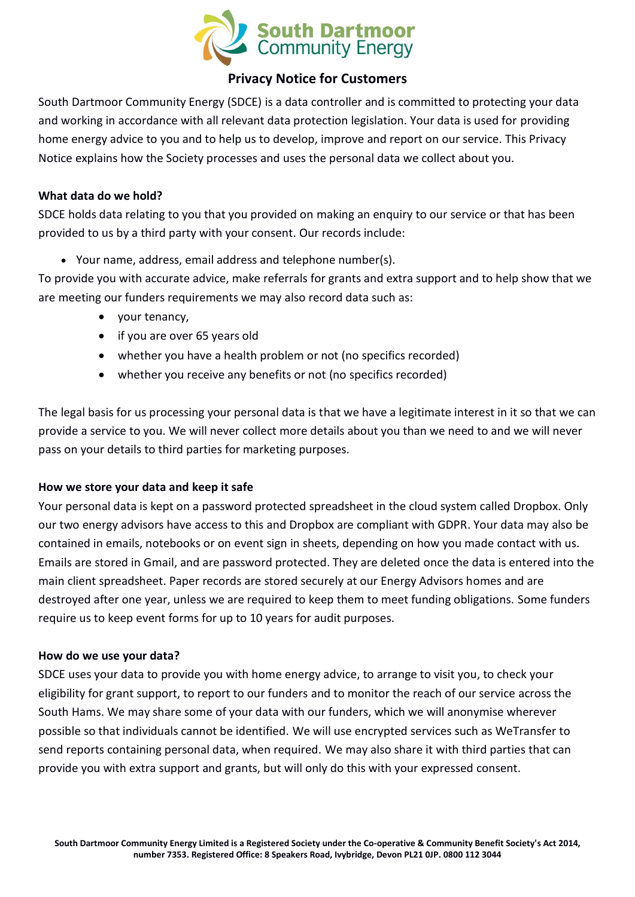

# **Privacy Notice for Customers**

South Dartmoor Community Energy (SDCE) is a data controller and is committed to protecting your data and working in accordance with all relevant data protection legislation. Your data is used for providing home energy advice to you and to help us to develop, improve and report on our service. This Privacy Notice explains how the Society processes and uses the personal data we collect about you.

## **What data do we hold?**

SDCE holds data relating to you that you provided on making an enquiry to our service or that has been provided to us by a third party with your consent. Our records include:

• Your name, address, email address and telephone number(s).

To provide you with accurate advice, make referrals for grants and extra support and to help show that we are meeting our funders requirements we may also record data such as:

- your tenancy,
- if you are over 65 years old
- whether you have a health problem or not (no specifics recorded)
- whether you receive any benefits or not (no specifics recorded)

The legal basis for us processing your personal data is that we have a legitimate interest in it so that we can provide a service to you. We will never collect more details about you than we need to and we will never pass on your details to third parties for marketing purposes.

#### **How we store your data and keep it safe**

Your personal data is kept on a password protected spreadsheet in the cloud system called Dropbox. Only our two energy advisors have access to this and Dropbox are compliant with GDPR. Your data may also be contained in emails, notebooks or on event sign in sheets, depending on how you made contact with us. Emails are stored in Gmail, and are password protected. They are deleted once the data is entered into the main client spreadsheet. Paper records are stored securely at our Energy Advisors homes and are destroyed after one year, unless we are required to keep them to meet funding obligations. Some funders require us to keep event forms for up to 10 years for audit purposes.

#### **How do we use your data?**

SDCE uses your data to provide you with home energy advice, to arrange to visit you, to check your eligibility for grant support, to report to our funders and to monitor the reach of our service across the South Hams. We may share some of your data with our funders, which we will anonymise wherever possible so that individuals cannot be identified. We will use encrypted services such as WeTransfer to send reports containing personal data, when required. We may also share it with third parties that can provide you with extra support and grants, but will only do this with your expressed consent.